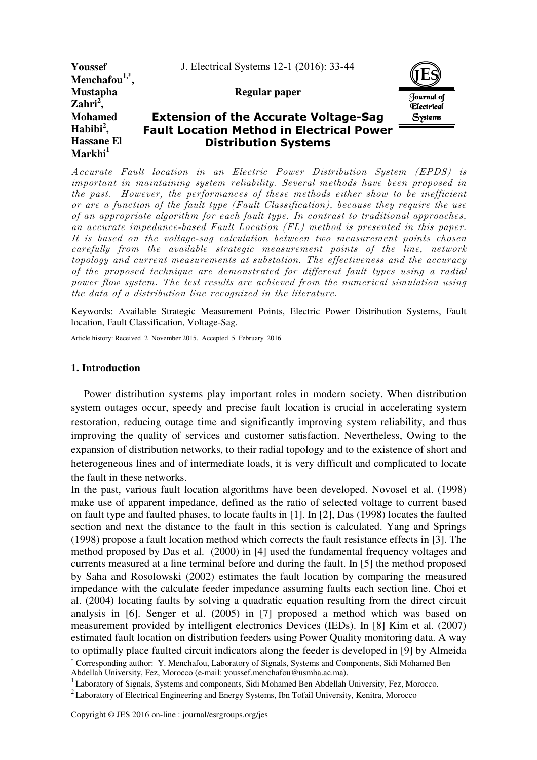| Youssef                                | J. Electrical Systems 12-1 (2016): 33-44                                        |                                                   |
|----------------------------------------|---------------------------------------------------------------------------------|---------------------------------------------------|
| Menchafou $1,$ *,<br><b>Mustapha</b>   | Regular paper                                                                   |                                                   |
| $\mathbf{Zahri}^2$ ,<br><b>Mohamed</b> | <b>Extension of the Accurate Voltage-Sag</b>                                    | Journal of<br><i><b>Electrical</b></i><br>Systems |
| Habibi $^2$ ,<br><b>Hassane El</b>     | <b>Fault Location Method in Electrical Power</b><br><b>Distribution Systems</b> |                                                   |
| Markhi <sup>1</sup>                    |                                                                                 |                                                   |

Accurate Fault location in an Electric Power Distribution System (EPDS) is important in maintaining system reliability. Several methods have been proposed in the past. However, the performances of these methods either show to be inefficient or are a function of the fault type (Fault Classification), because they require the use of an appropriate algorithm for each fault type. In contrast to traditional approaches, an accurate impedance-based Fault Location (FL) method is presented in this paper. It is based on the voltage-sag calculation between two measurement points chosen carefully from the available strategic measurement points of the line, network topology and current measurements at substation. The effectiveness and the accuracy of the proposed technique are demonstrated for different fault types using a radial power flow system. The test results are achieved from the numerical simulation using the data of a distribution line recognized in the literature.

Keywords: Available Strategic Measurement Points, Electric Power Distribution Systems, Fault location, Fault Classification, Voltage-Sag.

Article history: Received 2 November 2015, Accepted 5 February 2016

# **1. Introduction**

Power distribution systems play important roles in modern society. When distribution system outages occur, speedy and precise fault location is crucial in accelerating system restoration, reducing outage time and significantly improving system reliability, and thus improving the quality of services and customer satisfaction. Nevertheless, Owing to the expansion of distribution networks, to their radial topology and to the existence of short and heterogeneous lines and of intermediate loads, it is very difficult and complicated to locate the fault in these networks.

In the past, various fault location algorithms have been developed. Novosel et al. (1998) make use of apparent impedance, defined as the ratio of selected voltage to current based on fault type and faulted phases, to locate faults in [1]. In [2], Das (1998) locates the faulted section and next the distance to the fault in this section is calculated. Yang and Springs (1998) propose a fault location method which corrects the fault resistance effects in [3]. The method proposed by Das et al. (2000) in [4] used the fundamental frequency voltages and currents measured at a line terminal before and during the fault. In [5] the method proposed by Saha and Rosolowski (2002) estimates the fault location by comparing the measured impedance with the calculate feeder impedance assuming faults each section line. Choi et al. (2004) locating faults by solving a quadratic equation resulting from the direct circuit analysis in [6]. Senger et al. (2005) in [7] proposed a method which was based on measurement provided by intelligent electronics Devices (IEDs). In [8] Kim et al. (2007) estimated fault location on distribution feeders using Power Quality monitoring data. A way to optimally place faulted circuit indicators along the feeder is developed in [9] by Almeida

<sup>\*</sup> Corresponding author: Y. Menchafou, Laboratory of Signals, Systems and Components, Sidi Mohamed Ben Abdellah University, Fez, Morocco (e-mail: youssef.menchafou@usmba.ac.ma).

<sup>&</sup>lt;sup>1</sup> Laboratory of Signals, Systems and components, Sidi Mohamed Ben Abdellah University, Fez, Morocco.

 $2$  Laboratory of Electrical Engineering and Energy Systems, Ibn Tofail University, Kenitra, Morocco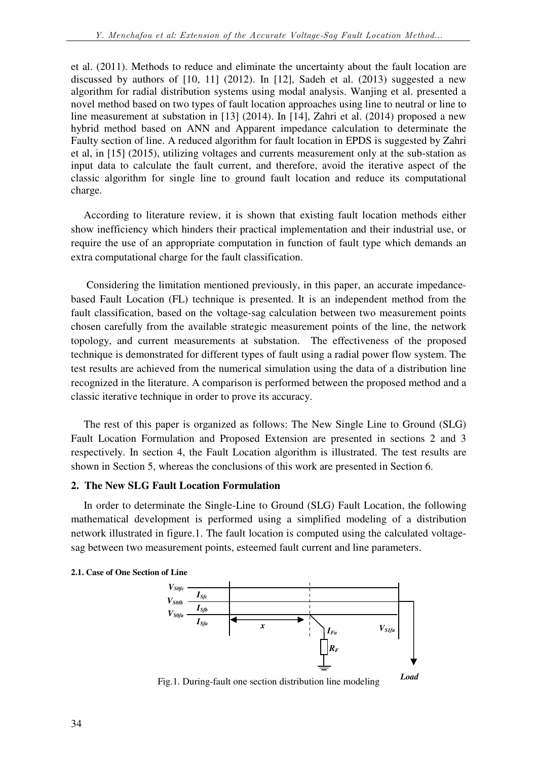et al. (2011). Methods to reduce and eliminate the uncertainty about the fault location are discussed by authors of  $[10, 11]$   $(2012)$ . In  $[12]$ , Sadeh et al.  $(2013)$  suggested a new algorithm for radial distribution systems using modal analysis. Wanjing et al. presented a novel method based on two types of fault location approaches using line to neutral or line to line measurement at substation in [13] (2014). In [14], Zahri et al. (2014) proposed a new hybrid method based on ANN and Apparent impedance calculation to determinate the Faulty section of line. A reduced algorithm for fault location in EPDS is suggested by Zahri et al, in [15] (2015), utilizing voltages and currents measurement only at the sub-station as input data to calculate the fault current, and therefore, avoid the iterative aspect of the classic algorithm for single line to ground fault location and reduce its computational charge.

According to literature review, it is shown that existing fault location methods either show inefficiency which hinders their practical implementation and their industrial use, or require the use of an appropriate computation in function of fault type which demands an extra computational charge for the fault classification.

 Considering the limitation mentioned previously, in this paper, an accurate impedancebased Fault Location (FL) technique is presented. It is an independent method from the fault classification, based on the voltage-sag calculation between two measurement points chosen carefully from the available strategic measurement points of the line, the network topology, and current measurements at substation. The effectiveness of the proposed technique is demonstrated for different types of fault using a radial power flow system. The test results are achieved from the numerical simulation using the data of a distribution line recognized in the literature. A comparison is performed between the proposed method and a classic iterative technique in order to prove its accuracy.

The rest of this paper is organized as follows: The New Single Line to Ground (SLG) Fault Location Formulation and Proposed Extension are presented in sections 2 and 3 respectively. In section 4, the Fault Location algorithm is illustrated. The test results are shown in Section 5, whereas the conclusions of this work are presented in Section 6.

# **2. The New SLG Fault Location Formulation**

In order to determinate the Single-Line to Ground (SLG) Fault Location, the following mathematical development is performed using a simplified modeling of a distribution network illustrated in figure.1. The fault location is computed using the calculated voltagesag between two measurement points, esteemed fault current and line parameters.

# **2.1. Case of One Section of Line**



Fig.1. During-fault one section distribution line modeling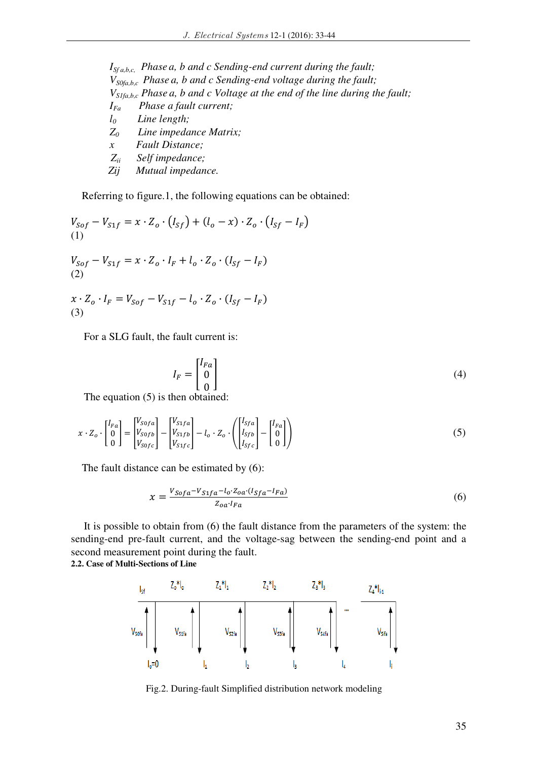*ISf a,b,c, Phase a, b and c Sending-end current during the fault; VS0fa,b,c Phase a, b and c Sending-end voltage during the fault; VS1fa,b,c Phase a, b and c Voltage at the end of the line during the fault; IFa Phase a fault current; l0 Line length; Z0 Line impedance Matrix; x Fault Distance; Zii Self impedance; Zij Mutual impedance.* 

Referring to figure.1, the following equations can be obtained:

$$
V_{Sof} - V_{S1f} = x \cdot Z_o \cdot (I_{Sf}) + (l_o - x) \cdot Z_o \cdot (I_{Sf} - I_F)
$$
  
(1)  

$$
V_{Sof} - V_{S1f} = x \cdot Z_o \cdot I_F + l_o \cdot Z_o \cdot (I_{Sf} - I_F)
$$
  
(2)  

$$
x \cdot Z_o \cdot I_F = V_{Sof} - V_{S1f} - l_o \cdot Z_o \cdot (I_{Sf} - I_F)
$$
  
(3)

For a SLG fault, the fault current is:

$$
I_F = \begin{bmatrix} I_{Fa} \\ 0 \\ 0 \end{bmatrix}
$$
 (4)

The equation (5) is then obtained:

$$
x \cdot Z_o \cdot \begin{bmatrix} I_{Fa} \\ 0 \\ 0 \end{bmatrix} = \begin{bmatrix} V_{SOfa} \\ V_{SOfb} \\ V_{SOfc} \end{bmatrix} - \begin{bmatrix} V_{S1fa} \\ V_{S1fb} \\ V_{S1fc} \end{bmatrix} - l_o \cdot Z_o \cdot \left( \begin{bmatrix} I_{Sfa} \\ I_{Sfb} \\ I_{Sfc} \end{bmatrix} - \begin{bmatrix} I_{Fa} \\ 0 \\ 0 \end{bmatrix} \right)
$$
 (5)

The fault distance can be estimated by (6):

$$
x = \frac{V_{Sofa} - V_{S1fa} - l_o \cdot Z_{oa} \cdot (I_{Sfa} - I_{Fa})}{Z_{oa} \cdot I_{Fa}}\tag{6}
$$

It is possible to obtain from (6) the fault distance from the parameters of the system: the sending-end pre-fault current, and the voltage-sag between the sending-end point and a second measurement point during the fault. **2.2. Case of Multi-Sections of Line** 



Fig.2. During-fault Simplified distribution network modeling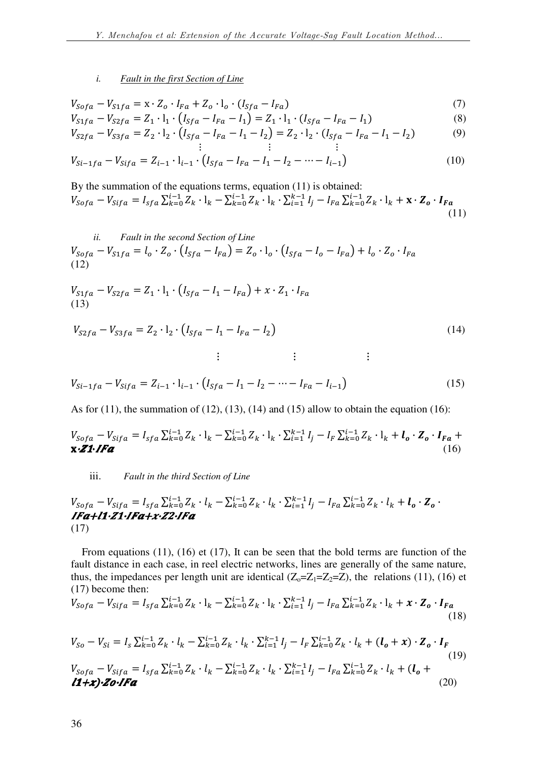### *i. Fault in the first Section of Line*

$$
V_{\text{Sof}a} - V_{\text{S1fa}} = \mathbf{x} \cdot Z_o \cdot I_{\text{Fa}} + Z_o \cdot I_o \cdot (I_{\text{Sfa}} - I_{\text{Fa}})
$$
\n<sup>(7)</sup>

$$
V_{S1fa} - V_{S2fa} = Z_1 \cdot l_1 \cdot (I_{Sfa} - I_{Fa} - I_1) = Z_1 \cdot l_1 \cdot (I_{Sfa} - I_{Fa} - I_1)
$$
\n(8)

$$
V_{S2fa} - V_{S3fa} = Z_2 \cdot l_2 \cdot (I_{Sfa} - I_{Fa} - I_1 - I_2) = Z_2 \cdot l_2 \cdot (I_{Sfa} - I_{Fa} - I_1 - I_2)
$$
(9)

$$
V_{Si-1fa} - V_{Sifa} = Z_{i-1} \cdot l_{i-1} \cdot (I_{Sfa} - I_{Fa} - I_1 - I_2 - \dots - I_{i-1})
$$
\n(10)

By the summation of the equations terms, equation (11) is obtained:  $V_{Sofa} - V_{Sifa} = I_{sfa} \sum_{k=0}^{l-1} Z_k \cdot l_k - \sum_{k=0}^{l-1} Z_k \cdot l_k \cdot \sum_{i=1}^{k-1} I_j - I_{Fa} \sum_{k=0}^{l-1} Z_k \cdot l_k + \mathbf{x} \cdot \mathbf{Z_o} \cdot I_{Fa}$  $(11)$ 

*ii. Fault in the second Section of Line*   $V_{Sofa} - V_{S1fa} = l_o \cdot Z_o \cdot (I_{Sfa} - I_{Fa}) = Z_o \cdot l_o \cdot (I_{Sfa} - I_o - I_{Fa}) + l_o \cdot Z_o \cdot I_{Fa}$ (12)

$$
V_{S1fa} - V_{S2fa} = Z_1 \cdot l_1 \cdot (I_{Sfa} - I_1 - I_{Fa}) + x \cdot Z_1 \cdot I_{Fa}
$$
  
(13)

$$
V_{S2fa} - V_{S3fa} = Z_2 \cdot l_2 \cdot (I_{Sfa} - I_1 - I_{Fa} - I_2)
$$
\n
$$
\vdots \qquad \qquad \vdots \qquad \qquad \vdots \qquad \qquad \vdots
$$
\n(14)

$$
V_{Si-1fa} - V_{Sifa} = Z_{i-1} \cdot l_{i-1} \cdot (I_{Sfa} - I_1 - I_2 - \dots - I_{Fa} - I_{i-1})
$$
\n(15)

As for  $(11)$ , the summation of  $(12)$ ,  $(13)$ ,  $(14)$  and  $(15)$  allow to obtain the equation  $(16)$ :

$$
V_{Sofa} - V_{Sifa} = I_{sfa} \sum_{k=0}^{i-1} Z_k \cdot l_k - \sum_{k=0}^{i-1} Z_k \cdot l_k \cdot \sum_{i=1}^{k-1} I_j - I_F \sum_{k=0}^{i-1} Z_k \cdot l_k + l_o \cdot Z_o \cdot I_{Fa} + \mathbf{x} \cdot Z \cdot I \cdot I \cdot Fa \tag{16}
$$

#### iii. *Fault in the third Section of Line*

$$
V_{Sofa} - V_{Sifa} = I_{sfa} \sum_{k=0}^{i-1} Z_k \cdot l_k - \sum_{k=0}^{i-1} Z_k \cdot l_k \cdot \sum_{i=1}^{k-1} I_j - I_{Fa} \sum_{k=0}^{i-1} Z_k \cdot l_k + l_o \cdot Z_o \cdot I_{FA} + I_{2} \cdot Z_2 \cdot I_{FA}
$$
  
(17)

From equations (11), (16) et (17), It can be seen that the bold terms are function of the fault distance in each case, in reel electric networks, lines are generally of the same nature, thus, the impedances per length unit are identical  $(Z_0=Z_1=Z_2=Z)$ , the relations (11), (16) et (17) become then:

$$
V_{Sofa} - V_{Sifa} = I_{sfa} \sum_{k=0}^{i-1} Z_k \cdot l_k - \sum_{k=0}^{i-1} Z_k \cdot l_k \cdot \sum_{i=1}^{k-1} I_j - I_{Fa} \sum_{k=0}^{i-1} Z_k \cdot l_k + x \cdot Z_o \cdot I_{Fa}
$$
\n(18)

$$
V_{So} - V_{Si} = I_s \sum_{k=0}^{i-1} Z_k \cdot l_k - \sum_{k=0}^{i-1} Z_k \cdot l_k \cdot \sum_{i=1}^{k-1} I_j - I_F \sum_{k=0}^{i-1} Z_k \cdot l_k + (l_o + x) \cdot Z_o \cdot I_F
$$
  
\n
$$
V_{Sofa} - V_{Sifa} = I_{sfa} \sum_{k=0}^{i-1} Z_k \cdot l_k - \sum_{k=0}^{i-1} Z_k \cdot l_k \cdot \sum_{i=1}^{k-1} I_j - I_{Fa} \sum_{k=0}^{i-1} Z_k \cdot l_k + (l_o + \textbf{1} + \textbf{1} + \textbf{1} + \textbf{1} + \textbf{1} + \textbf{1} + \textbf{1} + \textbf{1} + \textbf{1} + \textbf{1} + \textbf{1} + \textbf{1} + \textbf{1} + \textbf{1} + \textbf{1} + \textbf{1} + \textbf{1} + \textbf{1} + \textbf{1} + \textbf{1} + \textbf{1} + \textbf{1} + \textbf{1} + \textbf{1} + \textbf{1} + \textbf{1} + \textbf{1} + \textbf{1} + \textbf{1} + \textbf{1} + \textbf{1} + \textbf{1} + \textbf{1} + \textbf{1} + \textbf{1} + \textbf{1} + \textbf{1} + \textbf{1} + \textbf{1} + \textbf{1} + \textbf{1} + \textbf{1} + \textbf{1} + \textbf{1} + \textbf{1} + \textbf{1} + \textbf{1} + \textbf{1} + \textbf{1} + \textbf{1} + \textbf{1} + \textbf{1} + \textbf{1} + \textbf{1} + \textbf{1} + \textbf{1} + \textbf{1} + \textbf{1} + \textbf{1} + \textbf{1} + \textbf{1} + \textbf{1} + \textbf{1} + \textbf{1} + \textbf{1} + \textbf{1} + \textbf{1} + \textbf{1} + \textbf{1} + \textbf{1} + \textbf{1} + \textbf{1} + \textbf{1} + \textbf{1} + \textbf{1} + \textbf{1} + \textbf{1} + \textbf{1} + \text
$$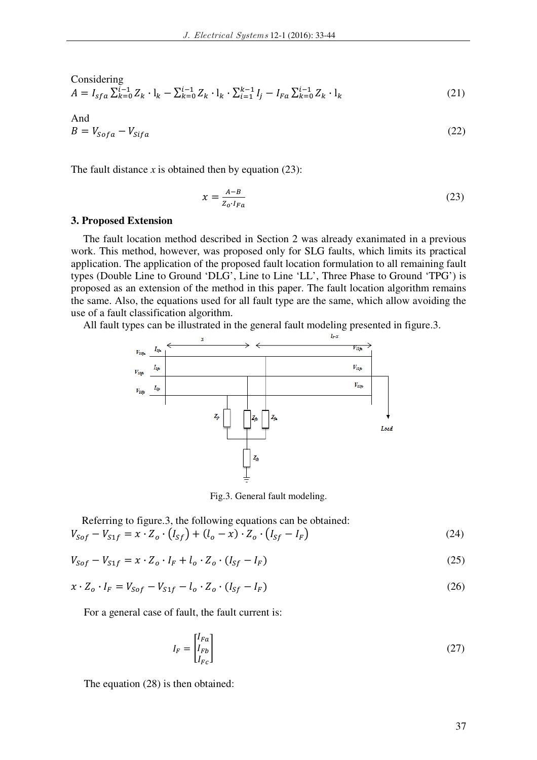Considering  
\n
$$
A = I_{sfa} \sum_{k=0}^{i-1} Z_k \cdot l_k - \sum_{k=0}^{i-1} Z_k \cdot l_k \cdot \sum_{i=1}^{k-1} I_j - I_{Fa} \sum_{k=0}^{i-1} Z_k \cdot l_k
$$
\n(21)

And  

$$
B = V_{\text{Soft}} - V_{\text{Sifa}}
$$
 (22)

The fault distance  $x$  is obtained then by equation  $(23)$ :

$$
x = \frac{A - B}{Z_0 \cdot I_{Fa}}\tag{23}
$$

#### **3. Proposed Extension**

The fault location method described in Section 2 was already exanimated in a previous work. This method, however, was proposed only for SLG faults, which limits its practical application. The application of the proposed fault location formulation to all remaining fault types (Double Line to Ground 'DLG', Line to Line 'LL', Three Phase to Ground 'TPG') is proposed as an extension of the method in this paper. The fault location algorithm remains the same. Also, the equations used for all fault type are the same, which allow avoiding the use of a fault classification algorithm.

All fault types can be illustrated in the general fault modeling presented in figure.3.



Fig.3. General fault modeling.

Referring to figure.3, the following equations can be obtained:  $V_{Sof} - V_{S1f} = x \cdot Z_o \cdot (I_{Sf}) + (l_o - x) \cdot Z_o \cdot (I_{Sf} - I_F)$  (24)

$$
V_{Sof} - V_{S1f} = x \cdot Z_o \cdot I_F + l_o \cdot Z_o \cdot (I_{Sf} - I_F)
$$
\n(25)

$$
x \cdot Z_o \cdot I_F = V_{\text{Sof}} - V_{\text{S1f}} - l_o \cdot Z_o \cdot (I_{\text{Sf}} - I_F) \tag{26}
$$

For a general case of fault, the fault current is:

$$
I_F = \begin{bmatrix} I_{Fa} \\ I_{Fb} \\ I_{Fc} \end{bmatrix} \tag{27}
$$

The equation (28) is then obtained: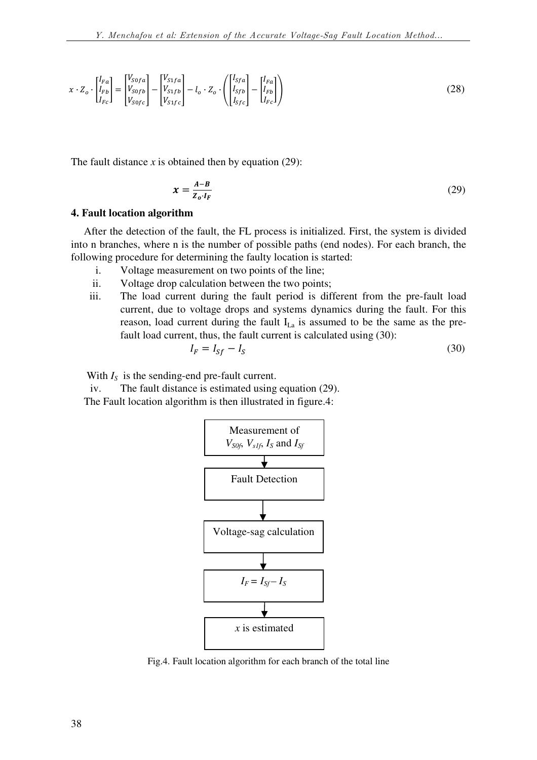$$
x \cdot Z_o \cdot \begin{bmatrix} I_{ra} \\ I_{Fb} \\ I_{Fc} \end{bmatrix} = \begin{bmatrix} V_{SOf a} \\ V_{SOf b} \\ V_{SOf c} \end{bmatrix} - \begin{bmatrix} V_{S1f a} \\ V_{S1f b} \\ V_{S1fc} \end{bmatrix} - l_o \cdot Z_o \cdot \left( \begin{bmatrix} I_{Sfa} \\ I_{Sfb} \\ I_{Sfc} \end{bmatrix} - \begin{bmatrix} I_{ra} \\ I_{Fb} \\ I_{Fc} \end{bmatrix} \right)
$$
(28)

The fault distance  $x$  is obtained then by equation (29):

$$
x = \frac{A - B}{Z_0 I_F} \tag{29}
$$

# **4. Fault location algorithm**

After the detection of the fault, the FL process is initialized. First, the system is divided into n branches, where n is the number of possible paths (end nodes). For each branch, the following procedure for determining the faulty location is started:

- i. Voltage measurement on two points of the line;
- ii. Voltage drop calculation between the two points;
- iii. The load current during the fault period is different from the pre-fault load current, due to voltage drops and systems dynamics during the fault. For this reason, load current during the fault  $I_{La}$  is assumed to be the same as the prefault load current, thus, the fault current is calculated using (30):

$$
I_F = I_{Sf} - I_S \tag{30}
$$

With  $I_s$  is the sending-end pre-fault current.

iv. The fault distance is estimated using equation (29). The Fault location algorithm is then illustrated in figure.4:



Fig.4. Fault location algorithm for each branch of the total line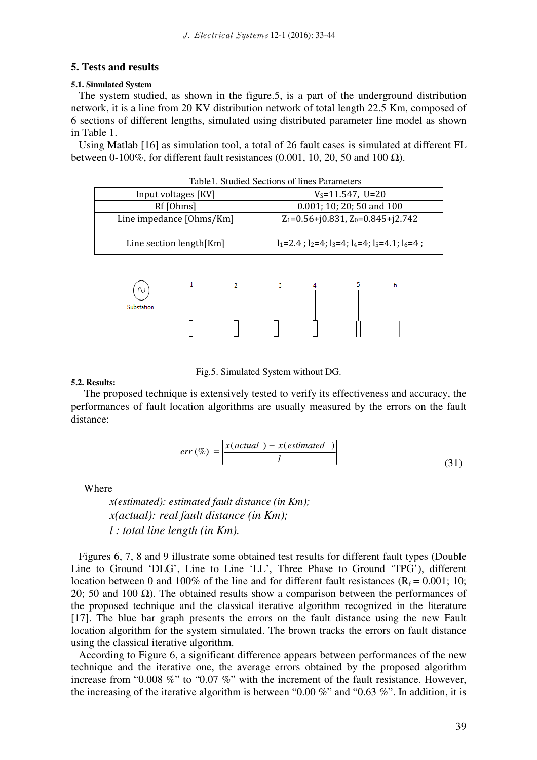# **5. Tests and results**

# **5.1. Simulated System**

The system studied, as shown in the figure.5, is a part of the underground distribution network, it is a line from 20 KV distribution network of total length 22.5 Km, composed of 6 sections of different lengths, simulated using distributed parameter line model as shown in Table 1.

Using Matlab [16] as simulation tool, a total of 26 fault cases is simulated at different FL between 0-100%, for different fault resistances (0.001, 10, 20, 50 and 100 Ω).

| Table 1. Studied Sections of lines Parameters |                                                                 |  |  |
|-----------------------------------------------|-----------------------------------------------------------------|--|--|
| Input voltages [KV]                           | $V_s = 11.547$ , U=20                                           |  |  |
| Rf [Ohms]                                     | $0.001; 10; 20; 50$ and 100                                     |  |  |
| Line impedance [Ohms/Km]                      | $Z_1 = 0.56 + j0.831$ , $Z_0 = 0.845 + j2.742$                  |  |  |
| Line section length [Km]                      | $l_1$ =2.4; $l_2$ =4; $l_3$ =4; $l_4$ =4; $l_5$ =4.1; $l_6$ =4; |  |  |



Fig.5. Simulated System without DG.

# **5.2. Results:**

The proposed technique is extensively tested to verify its effectiveness and accuracy, the performances of fault location algorithms are usually measured by the errors on the fault distance:

$$
err\left(\%) = \left| \frac{x(actual\ ) - x(estimated\ )}{l} \right| \tag{31}
$$

Where

*x(estimated): estimated fault distance (in Km); x(actual): real fault distance (in Km); l : total line length (in Km).* 

Figures 6, 7, 8 and 9 illustrate some obtained test results for different fault types (Double Line to Ground 'DLG', Line to Line 'LL', Three Phase to Ground 'TPG'), different location between 0 and 100% of the line and for different fault resistances ( $R_f = 0.001$ ; 10; 20; 50 and 100  $\Omega$ ). The obtained results show a comparison between the performances of the proposed technique and the classical iterative algorithm recognized in the literature [17]. The blue bar graph presents the errors on the fault distance using the new Fault location algorithm for the system simulated. The brown tracks the errors on fault distance using the classical iterative algorithm.

According to Figure 6, a significant difference appears between performances of the new technique and the iterative one, the average errors obtained by the proposed algorithm increase from "0.008 %" to "0.07 %" with the increment of the fault resistance. However, the increasing of the iterative algorithm is between "0.00  $\%$ " and "0.63  $\%$ ". In addition, it is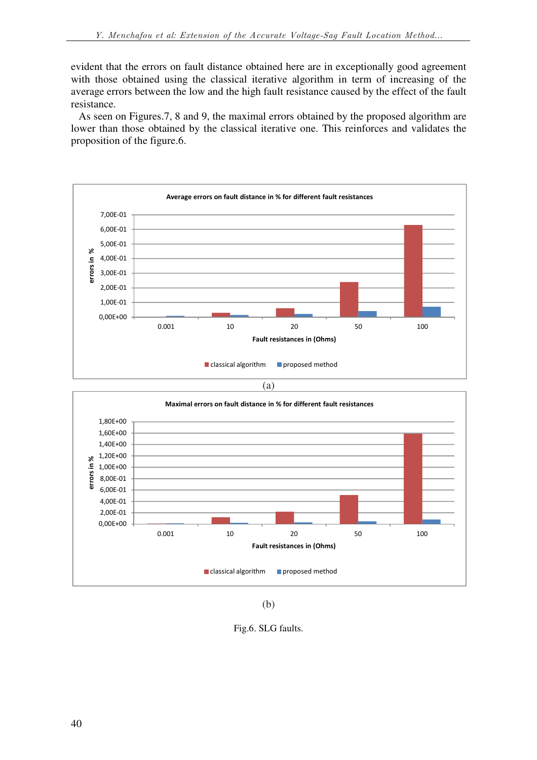evident that the errors on fault distance obtained here are in exceptionally good agreement with those obtained using the classical iterative algorithm in term of increasing of the average errors between the low and the high fault resistance caused by the effect of the fault resistance.

As seen on Figures.7, 8 and 9, the maximal errors obtained by the proposed algorithm are lower than those obtained by the classical iterative one. This reinforces and validates the proposition of the figure.6.



(b)

Fig.6. SLG faults.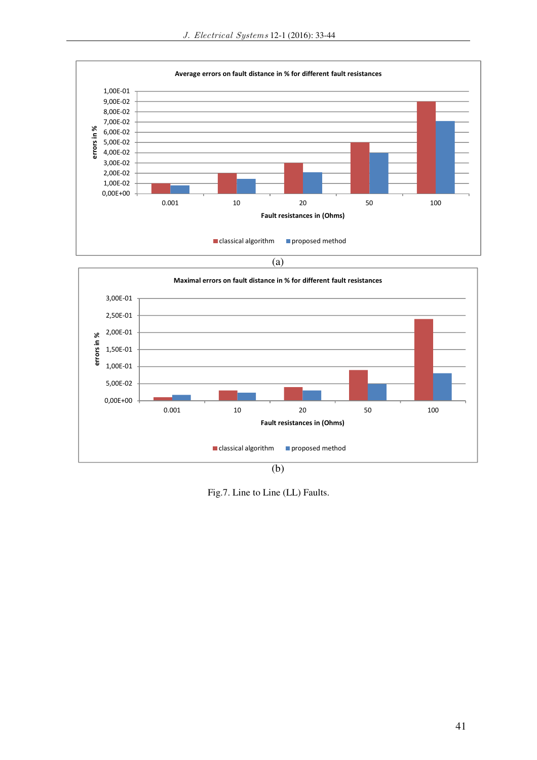

(a)



Fig.7. Line to Line (LL) Faults.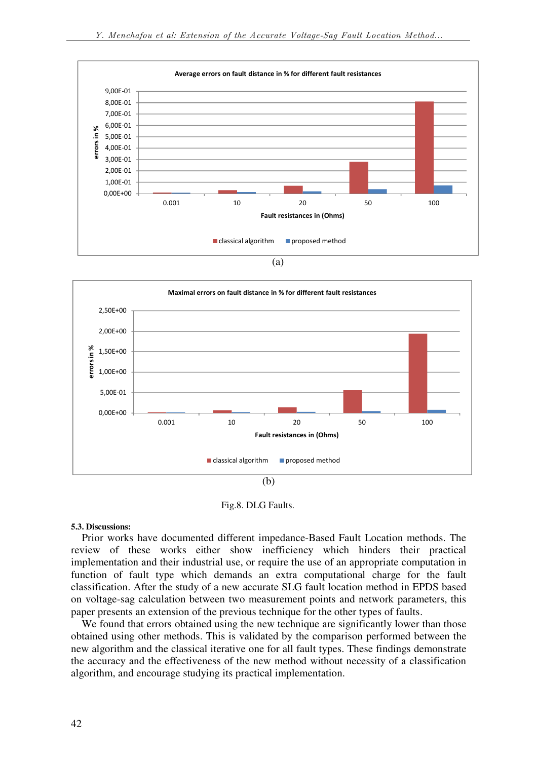



Fig.8. DLG Faults.

#### **5.3. Discussions:**

Prior works have documented different impedance-Based Fault Location methods. The review of these works either show inefficiency which hinders their practical implementation and their industrial use, or require the use of an appropriate computation in function of fault type which demands an extra computational charge for the fault classification. After the study of a new accurate SLG fault location method in EPDS based on voltage-sag calculation between two measurement points and network parameters, this paper presents an extension of the previous technique for the other types of faults.

We found that errors obtained using the new technique are significantly lower than those obtained using other methods. This is validated by the comparison performed between the new algorithm and the classical iterative one for all fault types. These findings demonstrate the accuracy and the effectiveness of the new method without necessity of a classification algorithm, and encourage studying its practical implementation.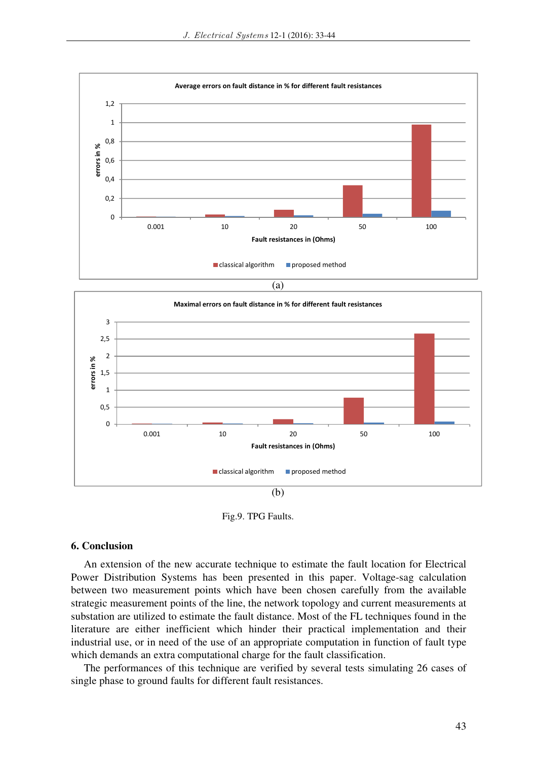



Fig.9. TPG Faults.

# **6. Conclusion**

An extension of the new accurate technique to estimate the fault location for Electrical Power Distribution Systems has been presented in this paper. Voltage-sag calculation between two measurement points which have been chosen carefully from the available strategic measurement points of the line, the network topology and current measurements at substation are utilized to estimate the fault distance. Most of the FL techniques found in the literature are either inefficient which hinder their practical implementation and their industrial use, or in need of the use of an appropriate computation in function of fault type which demands an extra computational charge for the fault classification.

The performances of this technique are verified by several tests simulating 26 cases of single phase to ground faults for different fault resistances.